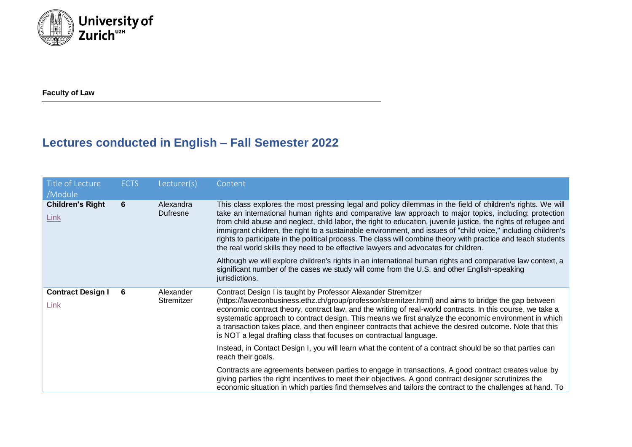

**Faculty of Law**

## **Lectures conducted in English – Fall Semester 2022**

| Title of Lecture<br>/Module      | <b>ECTS</b> | Lecturer(s)             | Content                                                                                                                                                                                                                                                                                                                                                                                                                                                                                                                                                                                                                                                          |
|----------------------------------|-------------|-------------------------|------------------------------------------------------------------------------------------------------------------------------------------------------------------------------------------------------------------------------------------------------------------------------------------------------------------------------------------------------------------------------------------------------------------------------------------------------------------------------------------------------------------------------------------------------------------------------------------------------------------------------------------------------------------|
| <b>Children's Right</b><br>Link  | 6           | Alexandra<br>Dufresne   | This class explores the most pressing legal and policy dilemmas in the field of children's rights. We will<br>take an international human rights and comparative law approach to major topics, including: protection<br>from child abuse and neglect, child labor, the right to education, juvenile justice, the rights of refugee and<br>immigrant children, the right to a sustainable environment, and issues of "child voice," including children's<br>rights to participate in the political process. The class will combine theory with practice and teach students<br>the real world skills they need to be effective lawyers and advocates for children. |
|                                  |             |                         | Although we will explore children's rights in an international human rights and comparative law context, a<br>significant number of the cases we study will come from the U.S. and other English-speaking<br>jurisdictions.                                                                                                                                                                                                                                                                                                                                                                                                                                      |
| <b>Contract Design I</b><br>Link | 6           | Alexander<br>Stremitzer | Contract Design I is taught by Professor Alexander Stremitzer<br>(https://laweconbusiness.ethz.ch/group/professor/stremitzer.html) and aims to bridge the gap between<br>economic contract theory, contract law, and the writing of real-world contracts. In this course, we take a<br>systematic approach to contract design. This means we first analyze the economic environment in which<br>a transaction takes place, and then engineer contracts that achieve the desired outcome. Note that this<br>is NOT a legal drafting class that focuses on contractual language.                                                                                   |
|                                  |             |                         | Instead, in Contact Design I, you will learn what the content of a contract should be so that parties can<br>reach their goals.                                                                                                                                                                                                                                                                                                                                                                                                                                                                                                                                  |
|                                  |             |                         | Contracts are agreements between parties to engage in transactions. A good contract creates value by<br>giving parties the right incentives to meet their objectives. A good contract designer scrutinizes the<br>economic situation in which parties find themselves and tailors the contract to the challenges at hand. To                                                                                                                                                                                                                                                                                                                                     |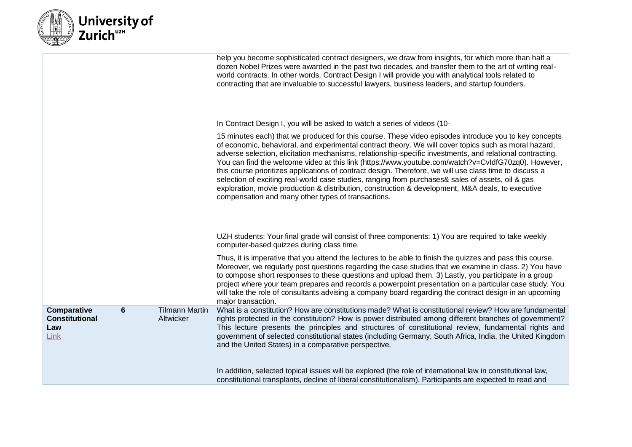|  | <b>Nuiversity of</b><br><i>- Z</i> urich » |
|--|--------------------------------------------|
|--|--------------------------------------------|

|                                                     |   |                                    | help you become sophisticated contract designers, we draw from insights, for which more than half a<br>dozen Nobel Prizes were awarded in the past two decades, and transfer them to the art of writing real-<br>world contracts. In other words, Contract Design I will provide you with analytical tools related to<br>contracting that are invaluable to successful lawyers, business leaders, and startup founders.                                                                                                                                                                                                                                                                                                                                                                                       |
|-----------------------------------------------------|---|------------------------------------|---------------------------------------------------------------------------------------------------------------------------------------------------------------------------------------------------------------------------------------------------------------------------------------------------------------------------------------------------------------------------------------------------------------------------------------------------------------------------------------------------------------------------------------------------------------------------------------------------------------------------------------------------------------------------------------------------------------------------------------------------------------------------------------------------------------|
|                                                     |   |                                    | In Contract Design I, you will be asked to watch a series of videos (10-                                                                                                                                                                                                                                                                                                                                                                                                                                                                                                                                                                                                                                                                                                                                      |
|                                                     |   |                                    | 15 minutes each) that we produced for this course. These video episodes introduce you to key concepts<br>of economic, behavioral, and experimental contract theory. We will cover topics such as moral hazard,<br>adverse selection, elicitation mechanisms, relationship-specific investments, and relational contracting.<br>You can find the welcome video at this link (https://www.youtube.com/watch?v=CvldfG70zq0). However,<br>this course prioritizes applications of contract design. Therefore, we will use class time to discuss a<br>selection of exciting real-world case studies, ranging from purchases& sales of assets, oil & gas<br>exploration, movie production & distribution, construction & development, M&A deals, to executive<br>compensation and many other types of transactions. |
|                                                     |   |                                    | UZH students: Your final grade will consist of three components: 1) You are required to take weekly<br>computer-based quizzes during class time.                                                                                                                                                                                                                                                                                                                                                                                                                                                                                                                                                                                                                                                              |
|                                                     |   |                                    | Thus, it is imperative that you attend the lectures to be able to finish the quizzes and pass this course.<br>Moreover, we regularly post questions regarding the case studies that we examine in class. 2) You have<br>to compose short responses to these questions and upload them. 3) Lastly, you participate in a group<br>project where your team prepares and records a powerpoint presentation on a particular case study. You<br>will take the role of consultants advising a company board regarding the contract design in an upcoming<br>major transaction.                                                                                                                                                                                                                                       |
| Comparative<br><b>Constitutional</b><br>Law<br>Link | 6 | <b>Tilmann Martin</b><br>Altwicker | What is a constitution? How are constitutions made? What is constitutional review? How are fundamental<br>rights protected in the constitution? How is power distributed among different branches of government?<br>This lecture presents the principles and structures of constitutional review, fundamental rights and<br>government of selected constitutional states (including Germany, South Africa, India, the United Kingdom<br>and the United States) in a comparative perspective.                                                                                                                                                                                                                                                                                                                  |
|                                                     |   |                                    | In addition, selected topical issues will be explored (the role of international law in constitutional law,<br>constitutional transplants, decline of liberal constitutionalism). Participants are expected to read and                                                                                                                                                                                                                                                                                                                                                                                                                                                                                                                                                                                       |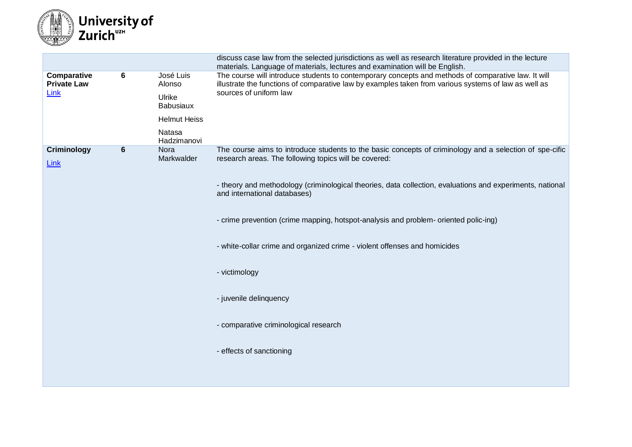

|                                           |                 |                            | discuss case law from the selected jurisdictions as well as research literature provided in the lecture<br>materials. Language of materials, lectures and examination will be English.                                                |
|-------------------------------------------|-----------------|----------------------------|---------------------------------------------------------------------------------------------------------------------------------------------------------------------------------------------------------------------------------------|
| Comparative<br><b>Private Law</b><br>Link | 6               | José Luis<br>Alonso        | The course will introduce students to contemporary concepts and methods of comparative law. It will<br>illustrate the functions of comparative law by examples taken from various systems of law as well as<br>sources of uniform law |
|                                           |                 | Ulrike<br><b>Babusiaux</b> |                                                                                                                                                                                                                                       |
|                                           |                 | <b>Helmut Heiss</b>        |                                                                                                                                                                                                                                       |
|                                           |                 | Natasa<br>Hadzimanovi      |                                                                                                                                                                                                                                       |
| Criminology<br>Link                       | $6\phantom{1}6$ | Nora<br>Markwalder         | The course aims to introduce students to the basic concepts of criminology and a selection of spe-cific<br>research areas. The following topics will be covered:                                                                      |
|                                           |                 |                            | - theory and methodology (criminological theories, data collection, evaluations and experiments, national<br>and international databases)                                                                                             |
|                                           |                 |                            | - crime prevention (crime mapping, hotspot-analysis and problem- oriented polic-ing)                                                                                                                                                  |
|                                           |                 |                            | - white-collar crime and organized crime - violent offenses and homicides                                                                                                                                                             |
|                                           |                 |                            | - victimology                                                                                                                                                                                                                         |
|                                           |                 |                            | - juvenile delinquency                                                                                                                                                                                                                |
|                                           |                 |                            | - comparative criminological research                                                                                                                                                                                                 |
|                                           |                 |                            | - effects of sanctioning                                                                                                                                                                                                              |
|                                           |                 |                            |                                                                                                                                                                                                                                       |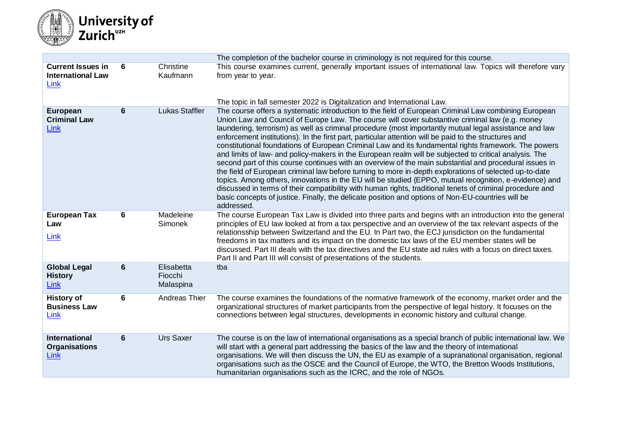

|                                                              |   |                                    | The completion of the bachelor course in criminology is not required for this course.                                                                                                                                                                                                                                                                                                                                                                                                                                                                                                                                                                                                                                                                                                                                                                                                                                                                                                                                                                                                                                                                                                                      |
|--------------------------------------------------------------|---|------------------------------------|------------------------------------------------------------------------------------------------------------------------------------------------------------------------------------------------------------------------------------------------------------------------------------------------------------------------------------------------------------------------------------------------------------------------------------------------------------------------------------------------------------------------------------------------------------------------------------------------------------------------------------------------------------------------------------------------------------------------------------------------------------------------------------------------------------------------------------------------------------------------------------------------------------------------------------------------------------------------------------------------------------------------------------------------------------------------------------------------------------------------------------------------------------------------------------------------------------|
| <b>Current Issues in</b><br><b>International Law</b><br>Link | 6 | Christine<br>Kaufmann              | This course examines current, generally important issues of international law. Topics will therefore vary<br>from year to year.                                                                                                                                                                                                                                                                                                                                                                                                                                                                                                                                                                                                                                                                                                                                                                                                                                                                                                                                                                                                                                                                            |
|                                                              |   |                                    | The topic in fall semester 2022 is Digitalization and International Law.                                                                                                                                                                                                                                                                                                                                                                                                                                                                                                                                                                                                                                                                                                                                                                                                                                                                                                                                                                                                                                                                                                                                   |
| European<br><b>Criminal Law</b><br>Link                      | 6 | <b>Lukas Staffler</b>              | The course offers a systematic introduction to the field of European Criminal Law combining European<br>Union Law and Council of Europe Law. The course will cover substantive criminal law (e.g. money<br>laundering, terrorism) as well as criminal procedure (most importantly mutual legal assistance and law<br>enforcement institutions). In the first part, particular attention will be paid to the structures and<br>constitutional foundations of European Criminal Law and its fundamental rights framework. The powers<br>and limits of law- and policy-makers in the European realm will be subjected to critical analysis. The<br>second part of this course continues with an overview of the main substantial and procedural issues in<br>the field of European criminal law before turning to more in-depth explorations of selected up-to-date<br>topics. Among others, innovations in the EU will be studied (EPPO, mutual recognition, e-evidence) and<br>discussed in terms of their compatibility with human rights, traditional tenets of criminal procedure and<br>basic concepts of justice. Finally, the delicate position and options of Non-EU-countries will be<br>addressed. |
| <b>European Tax</b><br>Law<br>Link                           | 6 | Madeleine<br>Simonek               | The course European Tax Law is divided into three parts and begins with an introduction into the general<br>principles of EU law looked at from a tax perspective and an overview of the tax relevant aspects of the<br>relationsship between Switzerland and the EU. In Part two, the ECJ jurisdiction on the fundamental<br>freedoms in tax matters and its impact on the domestic tax laws of the EU member states will be<br>discussed. Part III deals with the tax directives and the EU state aid rules with a focus on direct taxes.<br>Part II and Part III will consist of presentations of the students.                                                                                                                                                                                                                                                                                                                                                                                                                                                                                                                                                                                         |
| <b>Global Legal</b><br><b>History</b><br>Link                | 6 | Elisabetta<br>Fiocchi<br>Malaspina | tba                                                                                                                                                                                                                                                                                                                                                                                                                                                                                                                                                                                                                                                                                                                                                                                                                                                                                                                                                                                                                                                                                                                                                                                                        |
| <b>History of</b><br><b>Business Law</b><br>Link             | 6 | Andreas Thier                      | The course examines the foundations of the normative framework of the economy, market order and the<br>organizational structures of market participants from the perspective of legal history. It focuses on the<br>connections between legal structures, developments in economic history and cultural change.                                                                                                                                                                                                                                                                                                                                                                                                                                                                                                                                                                                                                                                                                                                                                                                                                                                                                            |
| <b>International</b><br><b>Organisations</b><br>Link         | 6 | <b>Urs Saxer</b>                   | The course is on the law of international organisations as a special branch of public international law. We<br>will start with a general part addressing the basics of the law and the theory of international<br>organisations. We will then discuss the UN, the EU as example of a supranational organisation, regional<br>organisations such as the OSCE and the Council of Europe, the WTO, the Bretton Woods Institutions,<br>humanitarian organisations such as the ICRC, and the role of NGOs.                                                                                                                                                                                                                                                                                                                                                                                                                                                                                                                                                                                                                                                                                                      |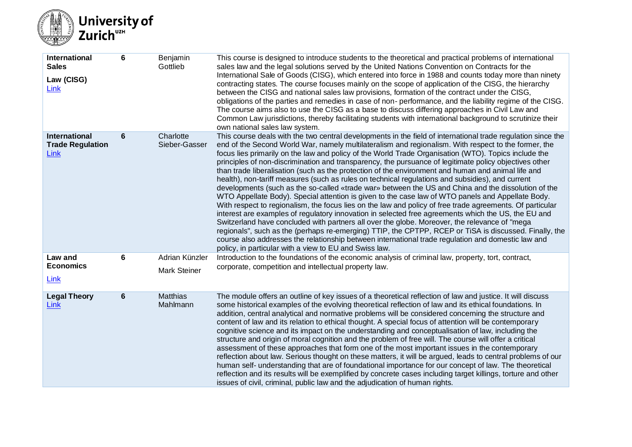

| International<br><b>Sales</b><br>Law (CISG)<br>Link     | $6\phantom{1}6$ | Benjamin<br>Gottlieb                  | This course is designed to introduce students to the theoretical and practical problems of international<br>sales law and the legal solutions served by the United Nations Convention on Contracts for the<br>International Sale of Goods (CISG), which entered into force in 1988 and counts today more than ninety<br>contracting states. The course focuses mainly on the scope of application of the CISG, the hierarchy<br>between the CISG and national sales law provisions, formation of the contract under the CISG,<br>obligations of the parties and remedies in case of non-performance, and the liability regime of the CISG.<br>The course aims also to use the CISG as a base to discuss differing approaches in Civil Law and<br>Common Law jurisdictions, thereby facilitating students with international background to scrutinize their<br>own national sales law system.                                                                                                                                                                                                                                                                                                                                                                                                                                                                                                                                                                |
|---------------------------------------------------------|-----------------|---------------------------------------|-------------------------------------------------------------------------------------------------------------------------------------------------------------------------------------------------------------------------------------------------------------------------------------------------------------------------------------------------------------------------------------------------------------------------------------------------------------------------------------------------------------------------------------------------------------------------------------------------------------------------------------------------------------------------------------------------------------------------------------------------------------------------------------------------------------------------------------------------------------------------------------------------------------------------------------------------------------------------------------------------------------------------------------------------------------------------------------------------------------------------------------------------------------------------------------------------------------------------------------------------------------------------------------------------------------------------------------------------------------------------------------------------------------------------------------------------------------|
| <b>International</b><br><b>Trade Regulation</b><br>Link | 6               | Charlotte<br>Sieber-Gasser            | This course deals with the two central developments in the field of international trade regulation since the<br>end of the Second World War, namely multilateralism and regionalism. With respect to the former, the<br>focus lies primarily on the law and policy of the World Trade Organisation (WTO). Topics include the<br>principles of non-discrimination and transparency, the pursuance of legitimate policy objectives other<br>than trade liberalisation (such as the protection of the environment and human and animal life and<br>health), non-tariff measures (such as rules on technical regulations and subsidies), and current<br>developments (such as the so-called «trade war» between the US and China and the dissolution of the<br>WTO Appellate Body). Special attention is given to the case law of WTO panels and Appellate Body.<br>With respect to regionalism, the focus lies on the law and policy of free trade agreements. Of particular<br>interest are examples of regulatory innovation in selected free agreements which the US, the EU and<br>Switzerland have concluded with partners all over the globe. Moreover, the relevance of "mega<br>regionals", such as the (perhaps re-emerging) TTIP, the CPTPP, RCEP or TiSA is discussed. Finally, the<br>course also addresses the relationship between international trade regulation and domestic law and<br>policy, in particular with a view to EU and Swiss law. |
| Law and<br><b>Economics</b><br>Link                     | $6\phantom{1}6$ | Adrian Künzler<br><b>Mark Steiner</b> | Introduction to the foundations of the economic analysis of criminal law, property, tort, contract,<br>corporate, competition and intellectual property law.                                                                                                                                                                                                                                                                                                                                                                                                                                                                                                                                                                                                                                                                                                                                                                                                                                                                                                                                                                                                                                                                                                                                                                                                                                                                                                |
| <b>Legal Theory</b><br>Link                             | $6\phantom{1}6$ | <b>Matthias</b><br>Mahlmann           | The module offers an outline of key issues of a theoretical reflection of law and justice. It will discuss<br>some historical examples of the evolving theoretical reflection of law and its ethical foundations. In<br>addition, central analytical and normative problems will be considered concerning the structure and<br>content of law and its relation to ethical thought. A special focus of attention will be contemporary<br>cognitive science and its impact on the understanding and conceptualisation of law, including the<br>structure and origin of moral cognition and the problem of free will. The course will offer a critical<br>assessment of these approaches that form one of the most important issues in the contemporary<br>reflection about law. Serious thought on these matters, it will be argued, leads to central problems of our<br>human self- understanding that are of foundational importance for our concept of law. The theoretical<br>reflection and its results will be exemplified by concrete cases including target killings, torture and other<br>issues of civil, criminal, public law and the adjudication of human rights.                                                                                                                                                                                                                                                                                |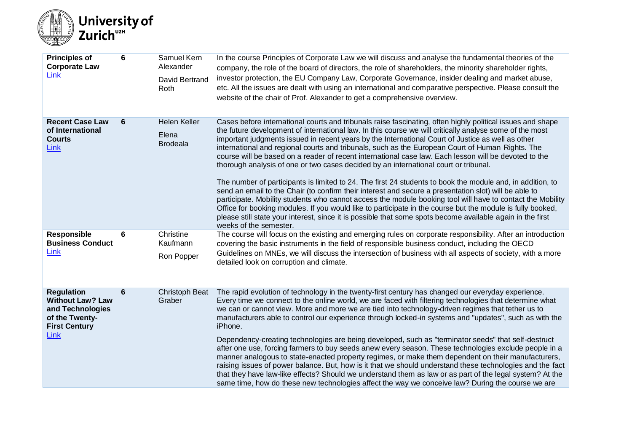

| <b>Principles of</b><br><b>Corporate Law</b><br>Link                                                               | 6 | Samuel Kern<br>Alexander<br>David Bertrand<br>Roth | In the course Principles of Corporate Law we will discuss and analyse the fundamental theories of the<br>company, the role of the board of directors, the role of shareholders, the minority shareholder rights,<br>investor protection, the EU Company Law, Corporate Governance, insider dealing and market abuse,<br>etc. All the issues are dealt with using an international and comparative perspective. Please consult the<br>website of the chair of Prof. Alexander to get a comprehensive overview.                                                                                                                                                                                                                                                                                                                                                                                                                                                                                                                                                                                                                                                                                                              |
|--------------------------------------------------------------------------------------------------------------------|---|----------------------------------------------------|----------------------------------------------------------------------------------------------------------------------------------------------------------------------------------------------------------------------------------------------------------------------------------------------------------------------------------------------------------------------------------------------------------------------------------------------------------------------------------------------------------------------------------------------------------------------------------------------------------------------------------------------------------------------------------------------------------------------------------------------------------------------------------------------------------------------------------------------------------------------------------------------------------------------------------------------------------------------------------------------------------------------------------------------------------------------------------------------------------------------------------------------------------------------------------------------------------------------------|
| <b>Recent Case Law</b><br>of International<br><b>Courts</b><br>Link                                                | 6 | <b>Helen Keller</b><br>Elena<br><b>Brodeala</b>    | Cases before international courts and tribunals raise fascinating, often highly political issues and shape<br>the future development of international law. In this course we will critically analyse some of the most<br>important judgments issued in recent years by the International Court of Justice as well as other<br>international and regional courts and tribunals, such as the European Court of Human Rights. The<br>course will be based on a reader of recent international case law. Each lesson will be devoted to the<br>thorough analysis of one or two cases decided by an international court or tribunal.<br>The number of participants is limited to 24. The first 24 students to book the module and, in addition, to<br>send an email to the Chair (to confirm their interest and secure a presentation slot) will be able to<br>participate. Mobility students who cannot access the module booking tool will have to contact the Mobility<br>Office for booking modules. If you would like to participate in the course but the module is fully booked,<br>please still state your interest, since it is possible that some spots become available again in the first<br>weeks of the semester. |
| <b>Responsible</b><br><b>Business Conduct</b><br>Link                                                              | 6 | Christine<br>Kaufmann<br>Ron Popper                | The course will focus on the existing and emerging rules on corporate responsibility. After an introduction<br>covering the basic instruments in the field of responsible business conduct, including the OECD<br>Guidelines on MNEs, we will discuss the intersection of business with all aspects of society, with a more<br>detailed look on corruption and climate.                                                                                                                                                                                                                                                                                                                                                                                                                                                                                                                                                                                                                                                                                                                                                                                                                                                    |
| <b>Regulation</b><br><b>Without Law? Law</b><br>and Technologies<br>of the Twenty-<br><b>First Century</b><br>Link | 6 | <b>Christoph Beat</b><br>Graber                    | The rapid evolution of technology in the twenty-first century has changed our everyday experience.<br>Every time we connect to the online world, we are faced with filtering technologies that determine what<br>we can or cannot view. More and more we are tied into technology-driven regimes that tether us to<br>manufacturers able to control our experience through locked-in systems and "updates", such as with the<br>iPhone.<br>Dependency-creating technologies are being developed, such as "terminator seeds" that self-destruct<br>after one use, forcing farmers to buy seeds anew every season. These technologies exclude people in a<br>manner analogous to state-enacted property regimes, or make them dependent on their manufacturers,<br>raising issues of power balance. But, how is it that we should understand these technologies and the fact<br>that they have law-like effects? Should we understand them as law or as part of the legal system? At the<br>same time, how do these new technologies affect the way we conceive law? During the course we are                                                                                                                                |